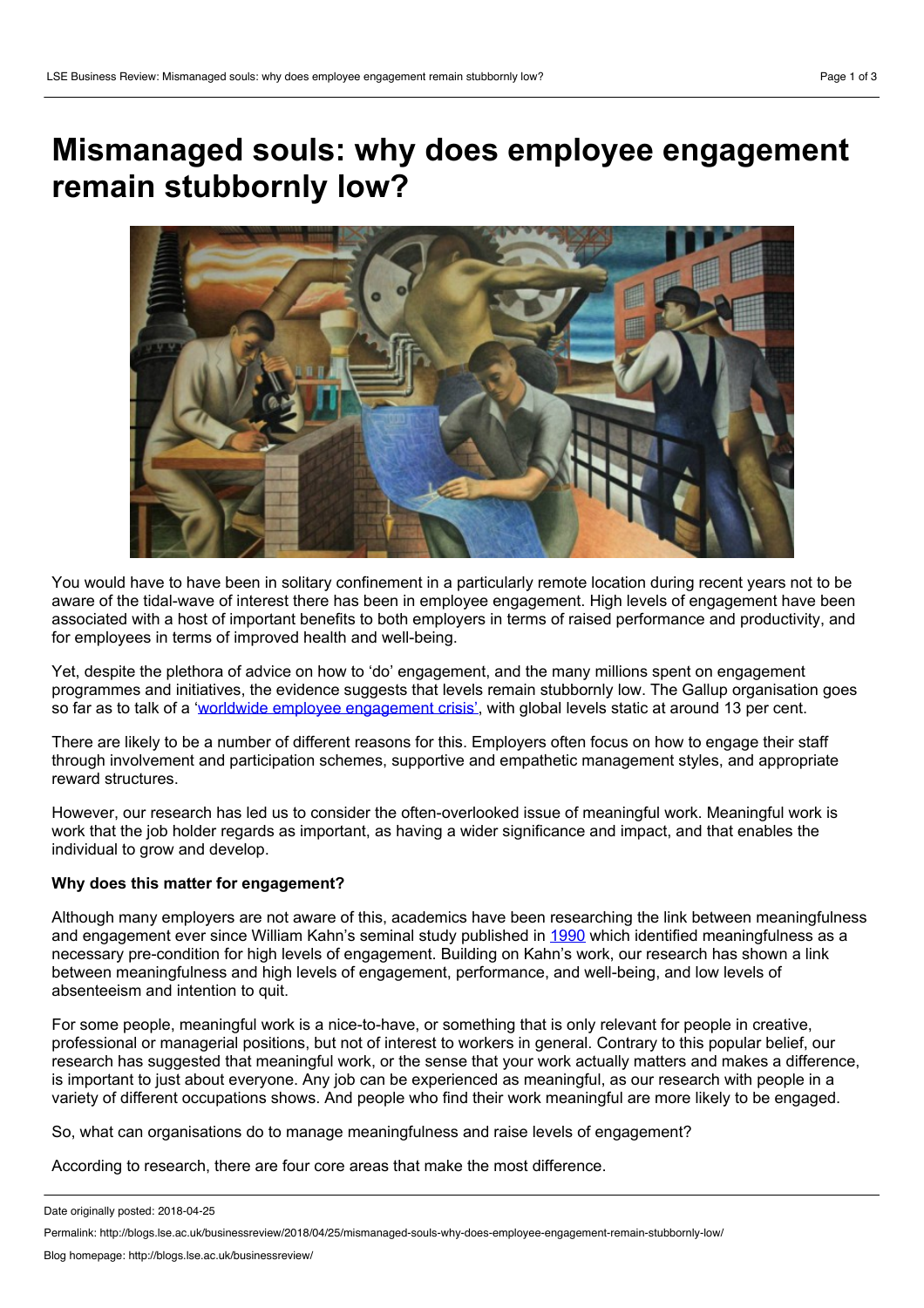## **Mismanaged souls: why does employee engagement remain stubbornly low?**



You would have to have been in solitary confinement in a particularly remote location during recent years not to be aware of the tidal-wave of interest there has been in employee engagement. High levels of engagement have been associated with a host of important benefits to both employers in terms of raised performance and productivity, and for employees in terms of improved health and well-being.

Yet, despite the plethora of advice on how to 'do' engagement, and the many millions spent on engagement programmes and initiatives, the evidence suggests that levels remain stubbornly low. The Gallup organisation goes so far as to talk of a 'worldwide employee [engagement](http://news.gallup.com/businessjournal/188033/worldwide-employee-engagement-crisis.aspx) crisis', with global levels static at around 13 per cent.

There are likely to be a number of different reasons for this. Employers often focus on how to engage their staff through involvement and participation schemes, supportive and empathetic management styles, and appropriate reward structures.

However, our research has led us to consider the often-overlooked issue of meaningful work. Meaningful work is work that the job holder regards as important, as having a wider significance and impact, and that enables the individual to grow and develop.

## **Why does this matter for engagement?**

Although many employers are not aware of this, academics have been researching the link between meaningfulness and engagement ever since William Kahn's seminal study published in [1990](https://www.jstor.org/stable/256287?seq=1#page_scan_tab_contents) which identified meaningfulness as a necessary pre-condition for high levels of engagement. Building on Kahn's work, our research has shown a link between meaningfulness and high levels of engagement, performance, and well-being, and low levels of absenteeism and intention to quit.

For some people, meaningful work is a nice-to-have, or something thatis only relevant for people in creative, professional or managerial positions, but not of interest to workers in general. Contrary to this popular belief, our research has suggested that meaningful work, or the sense that your work actually matters and makes a difference, is important to just about everyone. Any job can be experienced as meaningful, as our research with people in a variety of different occupations shows. And people who find their work meaningful are more likely to be engaged.

So, what can organisations do to manage meaningfulness and raise levels of engagement?

According to research, there are four core areas that make the most difference.

Date originally posted: 2018-04-25

Permalink: http://blogs.lse.ac.uk/businessreview/2018/04/25/mismanaged-souls-why-does-employee-engagement-remain-stubbornly-low/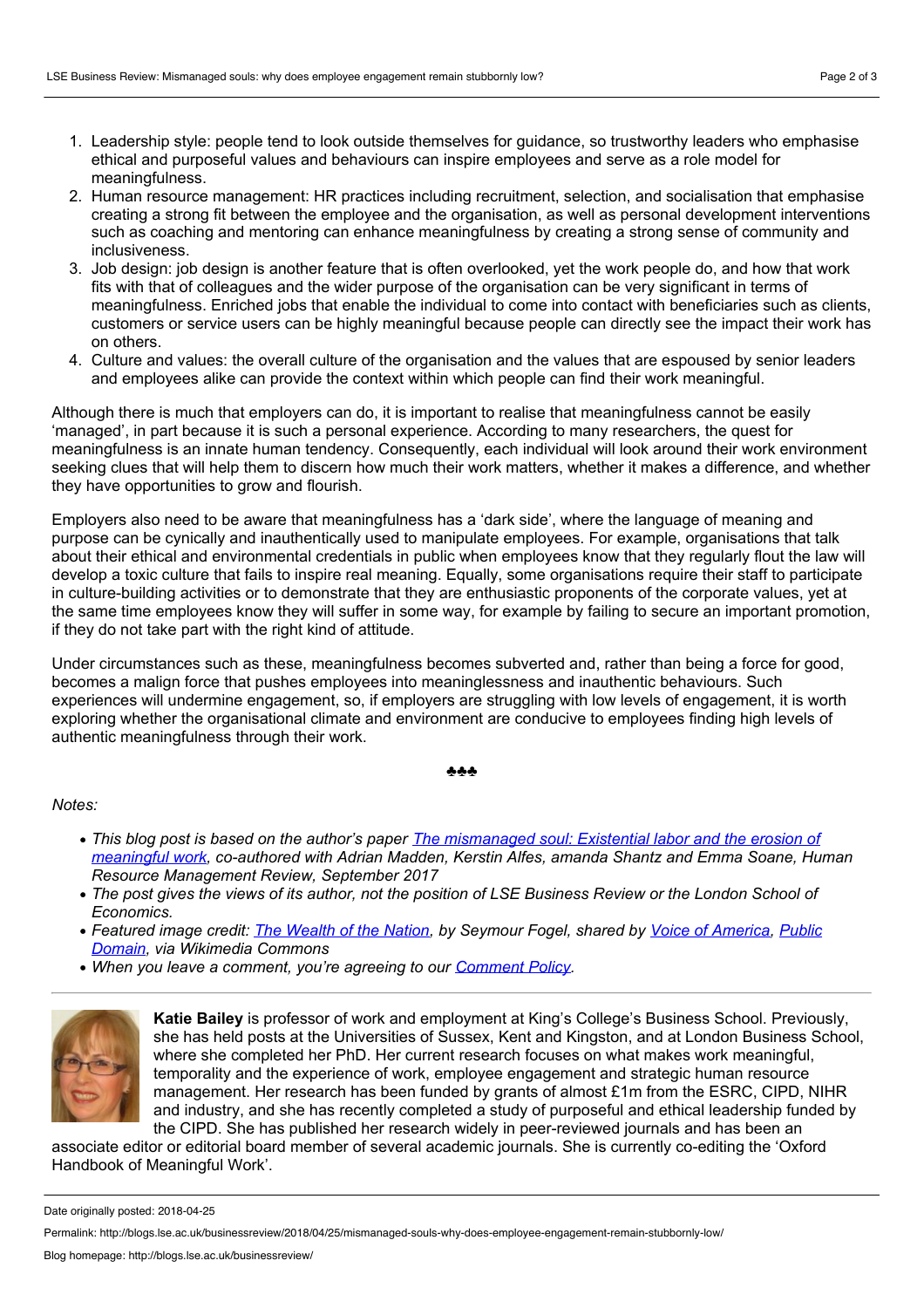- 1. Leadership style: people tend to look outside themselves for guidance, so trustworthy leaders who emphasise ethical and purposeful values and behaviours can inspire employees and serve as a role model for meaningfulness.
- 2. Human resource management: HR practices including recruitment, selection, and socialisation that emphasise creating a strong fit between the employee and the organisation, as wellas personal development interventions such as coaching and mentoring can enhance meaningfulness by creating a strong sense of community and inclusiveness.
- 3. Job design: job design is another feature that is often overlooked, yet the work people do, and how that work fits with that of colleagues and the wider purpose of the organisation can be very significant in terms of meaningfulness. Enriched jobs that enable the individual to come into contact with beneficiaries such as clients, customers or service users can be highly meaningful because people can directly see the impact their work has on others.
- 4. Culture and values: the overall culture of the organisation and the values that are espoused by senior leaders and employees alike can provide the context within which people can find their work meaningful.

Although there is much that employers can do, it is important to realise that meaningfulness cannot be easily 'managed', in part because it is such a personal experience. According to many researchers, the quest for meaningfulness is an innate human tendency. Consequently, each individual will look around their work environment seeking clues that will help them to discern how much their work matters, whether it makes a difference, and whether they have opportunities to grow and flourish.

Employers also need to be aware that meaningfulness has a 'dark side', where the language of meaning and purpose can be cynically and inauthentically used to manipulate employees. For example, organisations that talk about their ethical and environmental credentials in public when employees know that they regularly flout the law will develop a toxic culture that fails to inspire real meaning. Equally, some organisations require their staff to participate in culture-building activities or to demonstrate that they are enthusiastic proponents of the corporate values, yet at the same time employees know they will suffer in some way, for example by failing to secure an important promotion, if they do not take part with the right kind of attitude.

Under circumstances such as these, meaningfulness becomes subverted and, rather than being a force for good, becomes a malign force that pushes employees into meaninglessness and inauthentic behaviours. Such experiences will undermine engagement, so, if employers are struggling with low levels of engagement, it is worth exploring whether the organisational climate and environment are conducive to employees finding high levels of authentic meaningfulness through their work.

## ♣♣♣

## *Notes:*

- This blog post is based on the author's paper The [mismanaged](https://www.sciencedirect.com/science/article/pii/S1053482216300766) soul: Existential labor and the erosion of *meaningful work, co-authored with Adrian Madden, Kerstin Alfes, amanda Shantz and Emma Soane, Human Resource Management Review, September 2017*
- The post gives the views of its author, not the position of LSE Business Review or the London School of *Economics.*
- *Featured image credit: The [Wealth](https://en.wikipedia.org/wiki/The_Wealth_of_Nations#/media/File:The_Wealth_of_the_Nation,_Seymour_Fogel.jpg) of the Nation, by Seymour Fogel, shared by Voice of [America,](http://www.insidevoa.com/content/historic-murals-at-voice-of-america/1364570.html) Public Domain, via [Wikimedia](https://en.wikipedia.org/wiki/Public_domain) Commons*
- *When you leave a comment, you're agreeing to our [Comment](http://blogs.lse.ac.uk/businessreview/comment-policy/) Policy.*



**Katie Bailey** is professor of work and employment at King's College's Business School. Previously, she has held posts at the Universities of Sussex, Kent and Kingston, and at London Business School, where she completed her PhD. Her current research focuses on what makes work meaningful, temporality and the experience of work, employee engagement and strategic human resource management. Her research has been funded by grants of almost £1m from the ESRC, CIPD, NIHR and industry, and she has recently completed a study of purposeful and ethical leadership funded by the CIPD. She has published her research widely in peer-reviewed journals and has been an

associate editor or editorial board member of several academic journals. She is currently co-editing the 'Oxford Handbook of Meaningful Work'.

Date originally posted: 2018-04-25

Permalink: http://blogs.lse.ac.uk/businessreview/2018/04/25/mismanaged-souls-why-does-employee-engagement-remain-stubbornly-low/